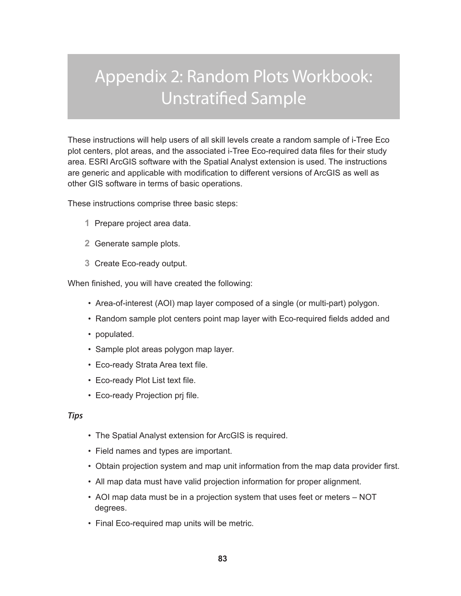# Appendix 2: Random Plots Workbook: Unstratified Sample

These instructions will help users of all skill levels create a random sample of i-Tree Eco plot centers, plot areas, and the associated i-Tree Eco-required data files for their study area. ESRI ArcGIS software with the Spatial Analyst extension is used. The instructions are generic and applicable with modification to different versions of ArcGIS as well as other GIS software in terms of basic operations.

These instructions comprise three basic steps:

- **1** Prepare project area data.
- **2** Generate sample plots.
- **3** Create Eco-ready output.

When finished, you will have created the following:

- Area-of-interest (AOI) map layer composed of a single (or multi-part) polygon.
- Random sample plot centers point map layer with Eco-required fields added and
- populated.
- Sample plot areas polygon map layer.
- Eco-ready Strata Area text file.
- Eco-ready Plot List text file.
- Eco-ready Projection prj file.

#### *Tips*

- The Spatial Analyst extension for ArcGIS is required.
- Field names and types are important.
- Obtain projection system and map unit information from the map data provider first.
- All map data must have valid projection information for proper alignment.
- AOI map data must be in a projection system that uses feet or meters NOT degrees.
- Final Eco-required map units will be metric.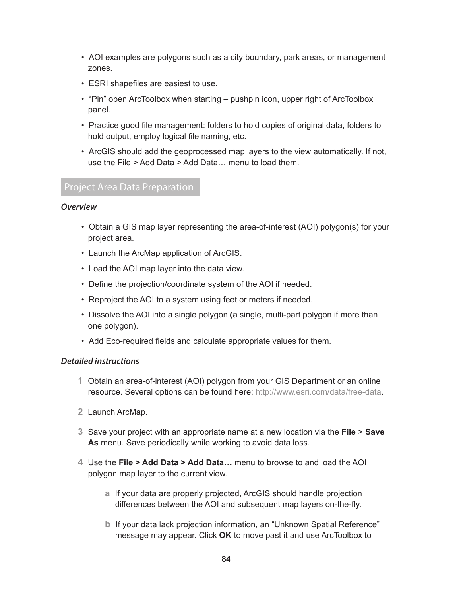- AOI examples are polygons such as a city boundary, park areas, or management zones.
- ESRI shapefiles are easiest to use.
- "Pin" open ArcToolbox when starting pushpin icon, upper right of ArcToolbox panel.
- Practice good file management: folders to hold copies of original data, folders to hold output, employ logical file naming, etc.
- ArcGIS should add the geoprocessed map layers to the view automatically. If not, use the File > Add Data > Add Data… menu to load them.

# Project Area Data Preparation

#### *Overview*

- Obtain a GIS map layer representing the area-of-interest (AOI) polygon(s) for your project area.
- Launch the ArcMap application of ArcGIS.
- Load the AOI map layer into the data view.
- Define the projection/coordinate system of the AOI if needed.
- Reproject the AOI to a system using feet or meters if needed.
- Dissolve the AOI into a single polygon (a single, multi-part polygon if more than one polygon).
- Add Eco-required fields and calculate appropriate values for them.

#### *Detailed instructions*

- **1** Obtain an area-of-interest (AOI) polygon from your GIS Department or an online resource. Several options can be found here: [http://www.esri.com/data/free-data](http://www.esri.com/data/free-data/index.html).
- **2** Launch ArcMap.
- **3** Save your project with an appropriate name at a new location via the **File** > **Save As** menu. Save periodically while working to avoid data loss.
- **4** Use the **File > Add Data > Add Data…** menu to browse to and load the AOI polygon map layer to the current view.
	- **a** If your data are properly projected, ArcGIS should handle projection differences between the AOI and subsequent map layers on-the-fly.
	- **b** If your data lack projection information, an "Unknown Spatial Reference" message may appear. Click **OK** to move past it and use ArcToolbox to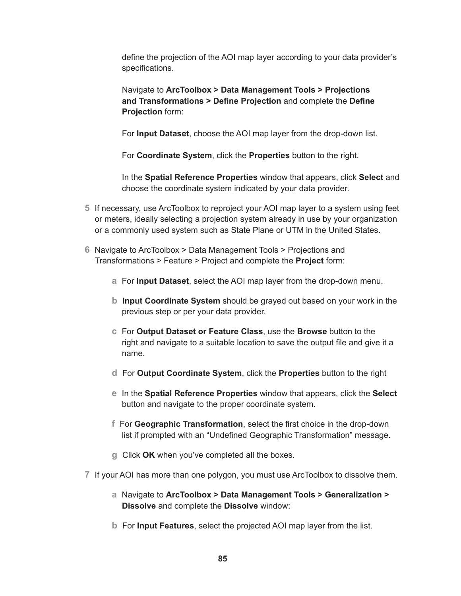define the projection of the AOI map layer according to your data provider's specifications.

Navigate to **ArcToolbox > Data Management Tools > Projections and Transformations > Define Projection** and complete the **Define Projection** form:

For **Input Dataset**, choose the AOI map layer from the drop-down list.

For **Coordinate System**, click the **Properties** button to the right.

In the **Spatial Reference Properties** window that appears, click **Select** and choose the coordinate system indicated by your data provider.

- **5** If necessary, use ArcToolbox to reproject your AOI map layer to a system using feet or meters, ideally selecting a projection system already in use by your organization or a commonly used system such as State Plane or UTM in the United States.
- **6** Navigate to ArcToolbox > Data Management Tools > Projections and Transformations > Feature > Project and complete the **Project** form:
	- **a** For **Input Dataset**, select the AOI map layer from the drop-down menu.
	- **b Input Coordinate System** should be grayed out based on your work in the previous step or per your data provider.
	- **c** For **Output Dataset or Feature Class**, use the **Browse** button to the right and navigate to a suitable location to save the output file and give it a name.
	- **d** For **Output Coordinate System**, click the **Properties** button to the right
	- **e** In the **Spatial Reference Properties** window that appears, click the **Select** button and navigate to the proper coordinate system.
	- **f** For **Geographic Transformation**, select the first choice in the drop-down list if prompted with an "Undefined Geographic Transformation" message.
	- **g** Click **OK** when you've completed all the boxes.
- **7** If your AOI has more than one polygon, you must use ArcToolbox to dissolve them.
	- **a** Navigate to **ArcToolbox > Data Management Tools > Generalization > Dissolve** and complete the **Dissolve** window:
	- **b** For **Input Features**, select the projected AOI map layer from the list.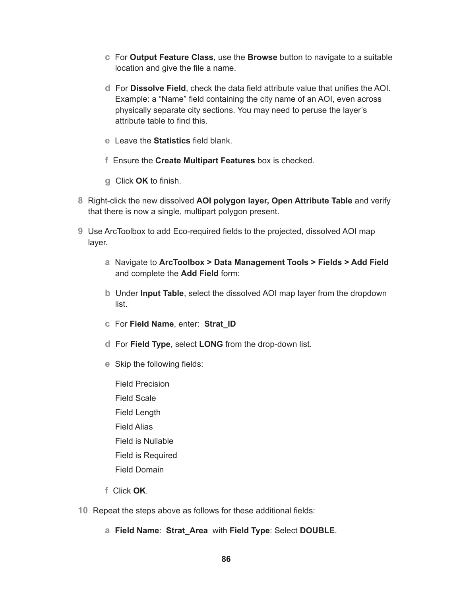- **c** For **Output Feature Class**, use the **Browse** button to navigate to a suitable location and give the file a name.
- **d** For **Dissolve Field**, check the data field attribute value that unifies the AOI. Example: a "Name" field containing the city name of an AOI, even across physically separate city sections. You may need to peruse the layer's attribute table to find this.
- **e** Leave the **Statistics** field blank.
- **f** Ensure the **Create Multipart Features** box is checked.
- **g** Click **OK** to finish.
- **8** Right-click the new dissolved **AOI polygon layer, Open Attribute Table** and verify that there is now a single, multipart polygon present.
- **9** Use ArcToolbox to add Eco-required fields to the projected, dissolved AOI map layer.
	- **a** Navigate to **ArcToolbox > Data Management Tools > Fields > Add Field** and complete the **Add Field** form:
	- **b** Under **Input Table**, select the dissolved AOI map layer from the dropdown list.
	- **c** For **Field Name**, enter: **Strat\_ID**
	- **d** For **Field Type**, select **LONG** from the drop-down list.
	- **e** Skip the following fields:
		- Field Precision Field Scale Field Length Field Alias Field is Nullable Field is Required Field Domain
	- **f** Click **OK**.
- **10** Repeat the steps above as follows for these additional fields:
	- **a Field Name**: **Strat\_Area** with **Field Type**: Select **DOUBLE**.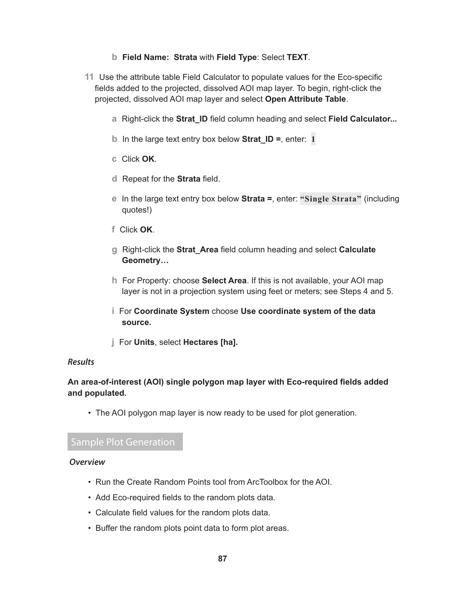## **b Field Name: Strata** with **Field Type**: Select **TEXT**.

- **11** Use the attribute table Field Calculator to populate values for the Eco-specific fields added to the projected, dissolved AOI map layer. To begin, right-click the projected, dissolved AOI map layer and select **Open Attribute Table**.
	- **a** Right-click the **Strat\_ID** field column heading and select **Field Calculator...**
	- **b** In the large text entry box below **Strat\_ID =**, enter: **1**
	- **c** Click **OK**.
	- **d** Repeat for the **Strata** field.
	- **e** In the large text entry box below **Strata =**, enter: **"Single Strata"** (including quotes!)
	- **f** Click **OK**.
	- **g** Right-click the **Strat\_Area** field column heading and select **Calculate Geometry…**
	- **h** For Property: choose **Select Area**. If this is not available, your AOI map layer is not in a projection system using feet or meters; see Steps 4 and 5.
	- **i** For **Coordinate System** choose **Use coordinate system of the data source.**
	- **j** For **Units**, select **Hectares [ha].**

#### *Results*

# **An area-of-interest (AOI) single polygon map layer with Eco-required fields added and populated.**

• The AOI polygon map layer is now ready to be used for plot generation.

# Sample Plot Generation

#### *Overview*

- Run the Create Random Points tool from ArcToolbox for the AOI.
- Add Eco-required fields to the random plots data.
- Calculate field values for the random plots data.
- Buffer the random plots point data to form plot areas.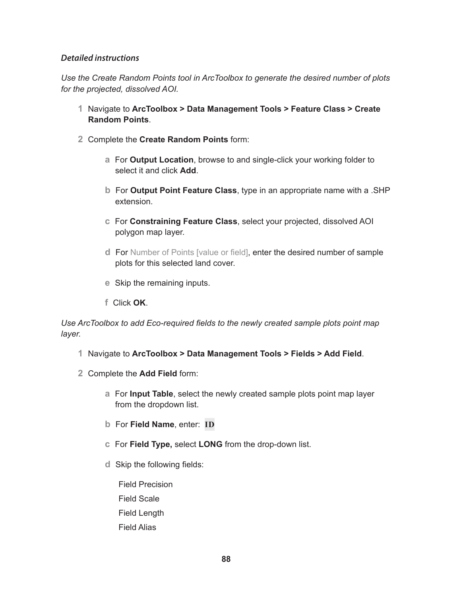## *Detailed instructions*

*Use the Create Random Points tool in ArcToolbox to generate the desired number of plots for the projected, dissolved AOI.*

- **1** Navigate to **ArcToolbox > Data Management Tools > Feature Class > Create Random Points**.
- **2** Complete the **Create Random Points** form:
	- **a** For **Output Location**, browse to and single-click your working folder to select it and click **Add**.
	- **b** For **Output Point Feature Class**, type in an appropriate name with a .SHP extension.
	- **c** For **Constraining Feature Class**, select your projected, dissolved AOI polygon map layer.
	- **d** For Number of Points [value or field], enter the desired number of sample plots for this selected land cover.
	- **e** Skip the remaining inputs.
	- **f** Click **OK**.

*Use ArcToolbox to add Eco-required fields to the newly created sample plots point map layer.*

- **1** Navigate to **ArcToolbox > Data Management Tools > Fields > Add Field**.
- **2** Complete the **Add Field** form:
	- **a** For **Input Table**, select the newly created sample plots point map layer from the dropdown list.
	- **b** For **Field Name**, enter: **ID**
	- **c** For **Field Type,** select **LONG** from the drop-down list.
	- **d** Skip the following fields:

Field Precision Field Scale Field Length Field Alias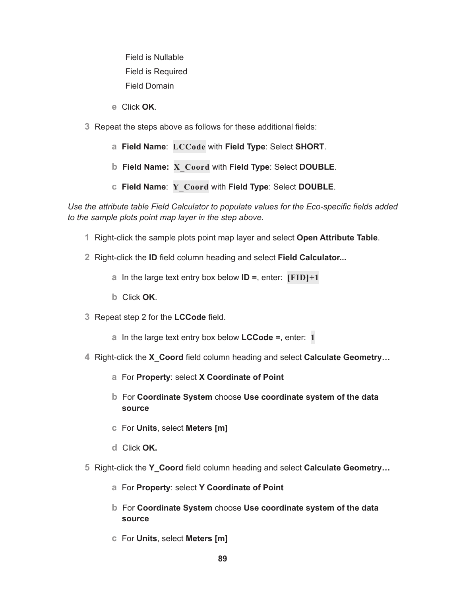Field is Nullable Field is Required Field Domain

- **e** Click **OK**.
- **3** Repeat the steps above as follows for these additional fields:
	- **a Field Name**: **LCCode** with **Field Type**: Select **SHORT**.
	- **b Field Name: X\_Coord** with **Field Type**: Select **DOUBLE**.
	- **c Field Name**: **Y\_Coord** with **Field Type**: Select **DOUBLE**.

*Use the attribute table Field Calculator to populate values for the Eco-specific fields added to the sample plots point map layer in the step above*.

- **1** Right-click the sample plots point map layer and select **Open Attribute Table**.
- **2** Right-click the **ID** field column heading and select **Field Calculator...**
	- **a** In the large text entry box below **ID =**, enter: **[FID]+1**
	- **b** Click **OK**.
- **3** Repeat step 2 for the **LCCode** field.
	- **a** In the large text entry box below **LCCode =**, enter: **1**
- **4** Right-click the **X\_Coord** field column heading and select **Calculate Geometry…**
	- **a** For **Property**: select **X Coordinate of Point**
	- **b** For **Coordinate System** choose **Use coordinate system of the data source**
	- **c** For **Units**, select **Meters [m]**
	- **d** Click **OK.**
- **5** Right-click the **Y\_Coord** field column heading and select **Calculate Geometry…**
	- **a** For **Property**: select **Y Coordinate of Point**
	- **b** For **Coordinate System** choose **Use coordinate system of the data source**
	- **c** For **Units**, select **Meters [m]**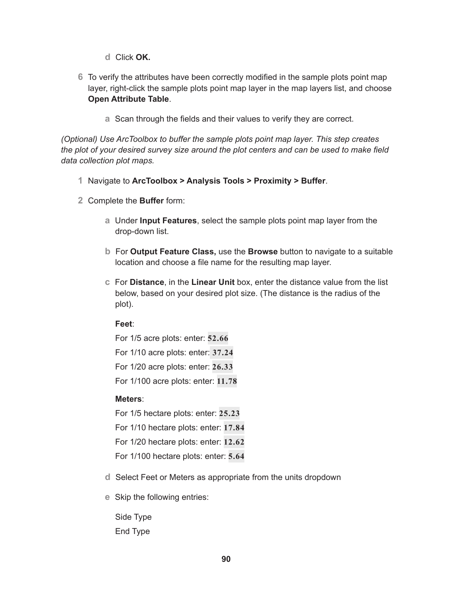**d** Click **OK.**

- **6** To verify the attributes have been correctly modified in the sample plots point map layer, right-click the sample plots point map layer in the map layers list, and choose **Open Attribute Table**.
	- **a** Scan through the fields and their values to verify they are correct.

*(Optional) Use ArcToolbox to buffer the sample plots point map layer. This step creates the plot of your desired survey size around the plot centers and can be used to make field data collection plot maps.*

- **1** Navigate to **ArcToolbox > Analysis Tools > Proximity > Buffer**.
- **2** Complete the **Buffer** form:
	- **a** Under **Input Features**, select the sample plots point map layer from the drop-down list.
	- **b** For **Output Feature Class,** use the **Browse** button to navigate to a suitable location and choose a file name for the resulting map layer.
	- **c** For **Distance**, in the **Linear Unit** box, enter the distance value from the list below, based on your desired plot size. (The distance is the radius of the plot).

#### **Feet**:

For 1/5 acre plots: enter: **52.66** For 1/10 acre plots: enter: **37.24** For 1/20 acre plots: enter: **26.33** For 1/100 acre plots: enter: **11.78**

#### **Meters**:

For 1/5 hectare plots: enter: **25.23** For 1/10 hectare plots: enter: **17.84** For 1/20 hectare plots: enter: **12.62** For 1/100 hectare plots: enter: **5.64**

- **d** Select Feet or Meters as appropriate from the units dropdown
- **e** Skip the following entries:

Side Type End Type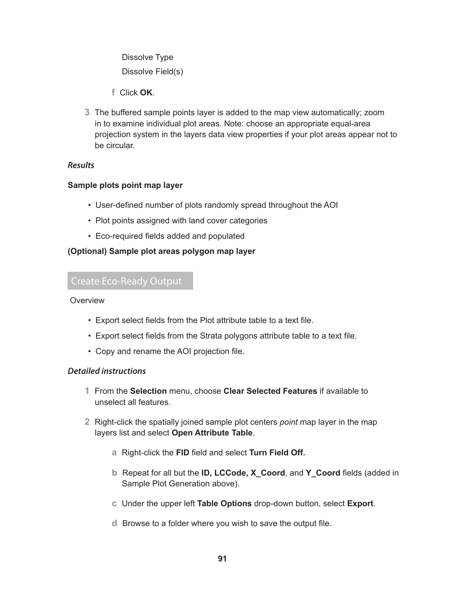Dissolve Type Dissolve Field(s)

- **f** Click **OK**.
- **3** The buffered sample points layer is added to the map view automatically; zoom in to examine individual plot areas. Note: choose an appropriate equal-area projection system in the layers data view properties if your plot areas appear not to be circular.

#### *Results*

## **Sample plots point map layer**

- User-defined number of plots randomly spread throughout the AOI
- Plot points assigned with land cover categories
- Eco-required fields added and populated

## **(Optional) Sample plot areas polygon map layer**

# Create Eco-Ready Output

#### **Overview**

- Export select fields from the Plot attribute table to a text file.
- Export select fields from the Strata polygons attribute table to a text file.
- Copy and rename the AOI projection file.

#### *Detailed instructions*

- **1** From the **Selection** menu, choose **Clear Selected Features** if available to unselect all features.
- **2** Right-click the spatially joined sample plot centers *point* map layer in the map layers list and select **Open Attribute Table**.
	- **a** Right-click the **FID** field and select **Turn Field Off.**
	- **b** Repeat for all but the **ID, LCCode, X\_Coord**, and **Y\_Coord** fields (added in Sample Plot Generation above).
	- **c** Under the upper left **Table Options** drop-down button, select **Export**.
	- **d** Browse to a folder where you wish to save the output file.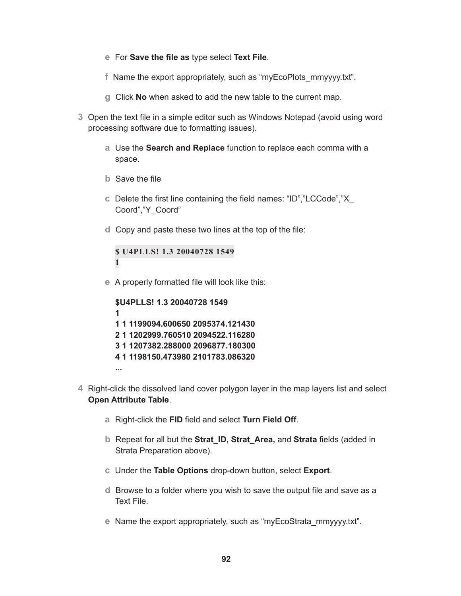- **e** For **Save the file as** type select **Text File**.
- **f** Name the export appropriately, such as "myEcoPlots\_mmyyyy.txt".
- **g** Click **No** when asked to add the new table to the current map.
- **3** Open the text file in a simple editor such as Windows Notepad (avoid using word processing software due to formatting issues).
	- **a** Use the **Search and Replace** function to replace each comma with a space.
	- **b** Save the file
	- **c** Delete the first line containing the field names: "ID","LCCode","X\_ Coord","Y\_Coord"
	- **d** Copy and paste these two lines at the top of the file:

```
$ U4PLLS! 1.3 20040728 1549
1
```
**e** A properly formatted file will look like this:

```
$U4PLLS! 1.3 20040728 1549
1
1 1 1199094.600650 2095374.121430
2 1 1202999.760510 2094522.116280
3 1 1207382.288000 2096877.180300
4 1 1198150.473980 2101783.086320
```
**...**

- **4** Right-click the dissolved land cover polygon layer in the map layers list and select **Open Attribute Table**.
	- **a** Right-click the **FID** field and select **Turn Field Off**.
	- **b** Repeat for all but the **Strat\_ID, Strat\_Area,** and **Strata** fields (added in Strata Preparation above).
	- **c** Under the **Table Options** drop-down button, select **Export**.
	- **d** Browse to a folder where you wish to save the output file and save as a Text File.
	- **e** Name the export appropriately, such as "myEcoStrata\_mmyyyy.txt".